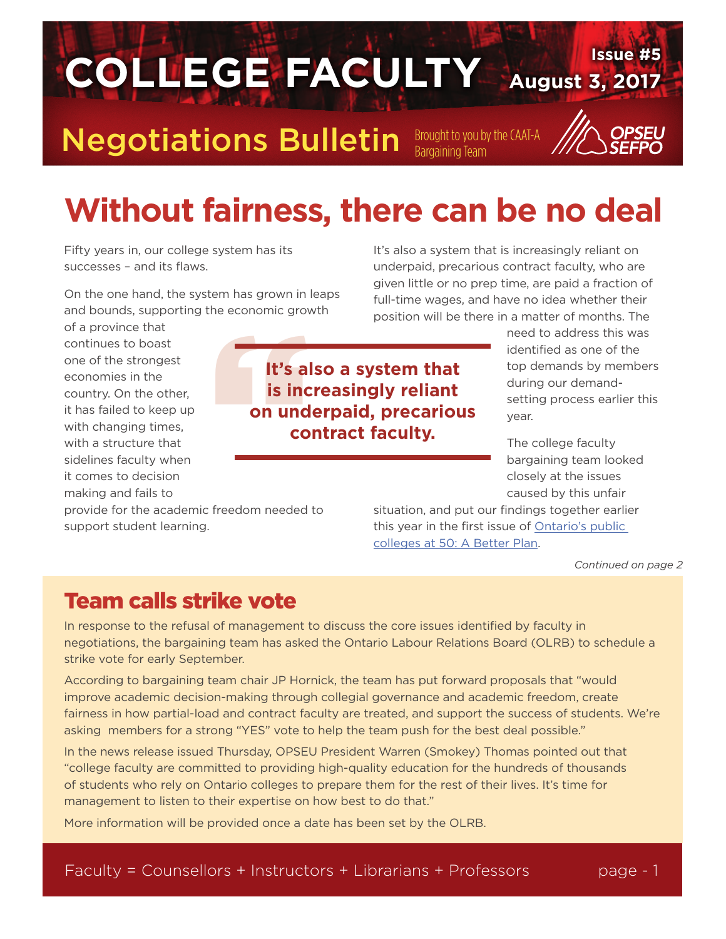## Negotiations Bulletin Brought to you by the CAAT-A

## **Without fairness, there can be no deal**

**August 3, 2017 Issue #5 COLLEGE FACULTY**

Fifty years in, our college system has its successes – and its flaws.

On the one hand, the system has grown in leaps and bounds, supporting the economic growth

of a province that continues to boast one of the strongest economies in the country. On the other, it has failed to keep up with changing times, with a structure that sidelines faculty when it comes to decision making and fails to

## It's all<br>is incomme grow<br>is incommund<br>co **It's also a system that is increasingly reliant on underpaid, precarious contract faculty.**

It's also a system that is increasingly reliant on underpaid, precarious contract faculty, who are given little or no prep time, are paid a fraction of full-time wages, and have no idea whether their position will be there in a matter of months. The

> need to address this was identified as one of the top demands by members during our demandsetting process earlier this year.

The college faculty bargaining team looked closely at the issues caused by this unfair

provide for the academic freedom needed to support student learning.

situation, and put our findings together earlier this year in the first issue of [Ontario's public](http://www.collegefaculty.org/students_and_faculty_first)  [colleges at 50: A Better Plan.](http://www.collegefaculty.org/students_and_faculty_first)

*Continued on page 2*

### Team calls strike vote

In response to the refusal of management to discuss the core issues identified by faculty in negotiations, the bargaining team has asked the Ontario Labour Relations Board (OLRB) to schedule a strike vote for early September.

According to bargaining team chair JP Hornick, the team has put forward proposals that "would improve academic decision-making through collegial governance and academic freedom, create fairness in how partial-load and contract faculty are treated, and support the success of students. We're asking members for a strong "YES" vote to help the team push for the best deal possible."

In the news release issued Thursday, OPSEU President Warren (Smokey) Thomas pointed out that "college faculty are committed to providing high-quality education for the hundreds of thousands of students who rely on Ontario colleges to prepare them for the rest of their lives. It's time for management to listen to their expertise on how best to do that."

More information will be provided once a date has been set by the OLRB.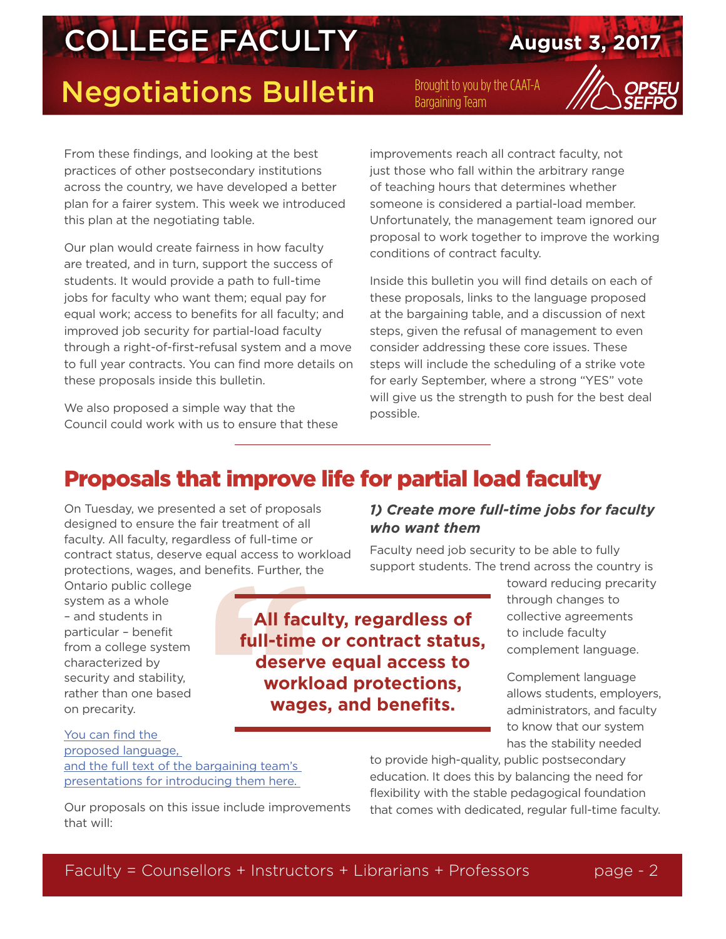## **Negotiations Bulletin** Brought to you by the CAAT-A



From these findings, and looking at the best practices of other postsecondary institutions across the country, we have developed a better plan for a fairer system. This week we introduced this plan at the negotiating table.

Our plan would create fairness in how faculty are treated, and in turn, support the success of students. It would provide a path to full-time jobs for faculty who want them; equal pay for equal work; access to benefits for all faculty; and improved job security for partial-load faculty through a right-of-first-refusal system and a move to full year contracts. You can find more details on these proposals inside this bulletin.

We also proposed a simple way that the Council could work with us to ensure that these improvements reach all contract faculty, not just those who fall within the arbitrary range of teaching hours that determines whether someone is considered a partial-load member. Unfortunately, the management team ignored our proposal to work together to improve the working conditions of contract faculty.

Inside this bulletin you will find details on each of these proposals, links to the language proposed at the bargaining table, and a discussion of next steps, given the refusal of management to even consider addressing these core issues. These steps will include the scheduling of a strike vote for early September, where a strong "YES" vote will give us the strength to push for the best deal possible.

### Proposals that improve life for partial load faculty

On Tuesday, we presented a set of proposals designed to ensure the fair treatment of all faculty. All faculty, regardless of full-time or contract status, deserve equal access to workload protections, wages, and benefits. Further, the

Ontario public college system as a whole – and students in particular – benefit from a college system characterized by security and stability, rather than one based on precarity.

Exercits. Further, then the All factory<br>
full-time<br>
deserv<br>
workl<br>
wage **All faculty, regardless of full-time or contract status, deserve equal access to workload protections, wages, and benefits.**

*1) Create more full-time jobs for faculty who want them*

Faculty need job security to be able to fully support students. The trend across the country is

> toward reducing precarity through changes to collective agreements to include faculty complement language.

Complement language allows students, employers, administrators, and faculty to know that our system has the stability needed

[You can find the](https://d3n8a8pro7vhmx.cloudfront.net/weownit/pages/417/attachments/original/1501787856/Article_2_26_27_LOU.pdf?1501787856)  [proposed language,](https://d3n8a8pro7vhmx.cloudfront.net/weownit/pages/417/attachments/original/1501787856/Article_2_26_27_LOU.pdf?1501787856)  [and the full text of the bargaining team's](https://d3n8a8pro7vhmx.cloudfront.net/weownit/pages/417/attachments/original/1501787856/Article_2_26_27_LOU.pdf?1501787856)  [presentations for introducing them here.](https://d3n8a8pro7vhmx.cloudfront.net/weownit/pages/417/attachments/original/1501787856/Article_2_26_27_LOU.pdf?1501787856) 

Our proposals on this issue include improvements that will:

to provide high-quality, public postsecondary education. It does this by balancing the need for flexibility with the stable pedagogical foundation that comes with dedicated, regular full-time faculty.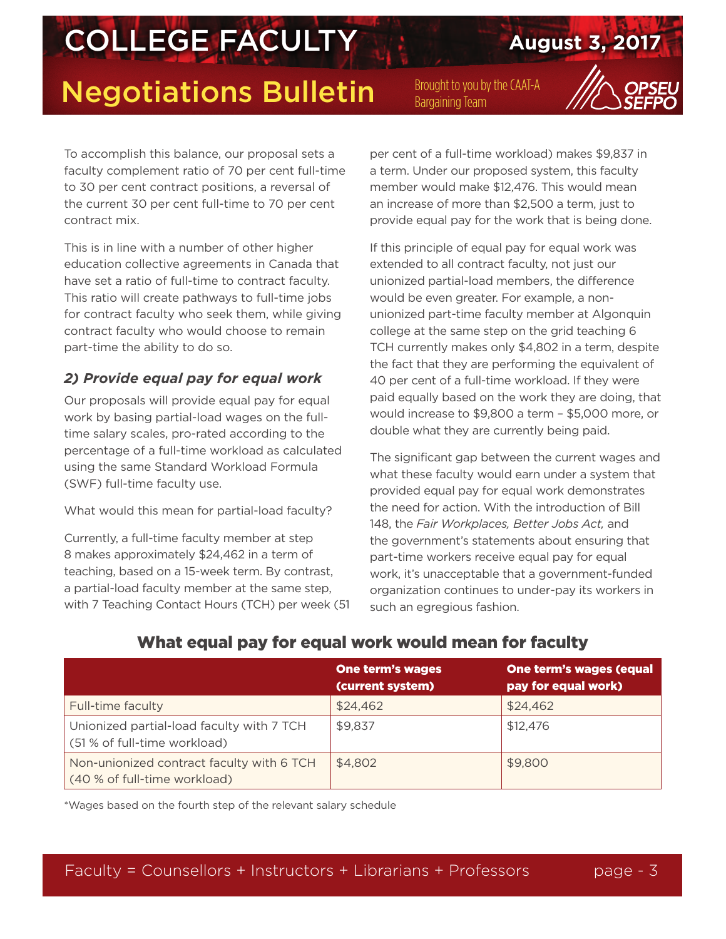## Negotiations Bulletin Brought to you by the CAAT-A



To accomplish this balance, our proposal sets a faculty complement ratio of 70 per cent full-time to 30 per cent contract positions, a reversal of the current 30 per cent full-time to 70 per cent contract mix.

This is in line with a number of other higher education collective agreements in Canada that have set a ratio of full-time to contract faculty. This ratio will create pathways to full-time jobs for contract faculty who seek them, while giving contract faculty who would choose to remain part-time the ability to do so.

#### *2) Provide equal pay for equal work*

Our proposals will provide equal pay for equal work by basing partial-load wages on the fulltime salary scales, pro-rated according to the percentage of a full-time workload as calculated using the same Standard Workload Formula (SWF) full-time faculty use.

What would this mean for partial-load faculty?

Currently, a full-time faculty member at step 8 makes approximately \$24,462 in a term of teaching, based on a 15-week term. By contrast, a partial-load faculty member at the same step, with 7 Teaching Contact Hours (TCH) per week (51 per cent of a full-time workload) makes \$9,837 in a term. Under our proposed system, this faculty member would make \$12,476. This would mean an increase of more than \$2,500 a term, just to provide equal pay for the work that is being done.

If this principle of equal pay for equal work was extended to all contract faculty, not just our unionized partial-load members, the difference would be even greater. For example, a nonunionized part-time faculty member at Algonquin college at the same step on the grid teaching 6 TCH currently makes only \$4,802 in a term, despite the fact that they are performing the equivalent of 40 per cent of a full-time workload. If they were paid equally based on the work they are doing, that would increase to \$9,800 a term – \$5,000 more, or double what they are currently being paid.

The significant gap between the current wages and what these faculty would earn under a system that provided equal pay for equal work demonstrates the need for action. With the introduction of Bill 148, the *Fair Workplaces, Better Jobs Act,* and the government's statements about ensuring that part-time workers receive equal pay for equal work, it's unacceptable that a government-funded organization continues to under-pay its workers in such an egregious fashion.

|                                                                           | <b>One term's wages</b><br>(current system) | <b>One term's wages (equal</b><br>pay for equal work) |
|---------------------------------------------------------------------------|---------------------------------------------|-------------------------------------------------------|
| Full-time faculty                                                         | \$24,462                                    | \$24,462                                              |
| Unionized partial-load faculty with 7 TCH<br>(51 % of full-time workload) | \$9,837                                     | \$12,476                                              |
| Non-unionized contract faculty with 6 TCH<br>(40 % of full-time workload) | \$4,802                                     | \$9,800                                               |

#### What equal pay for equal work would mean for faculty

\*Wages based on the fourth step of the relevant salary schedule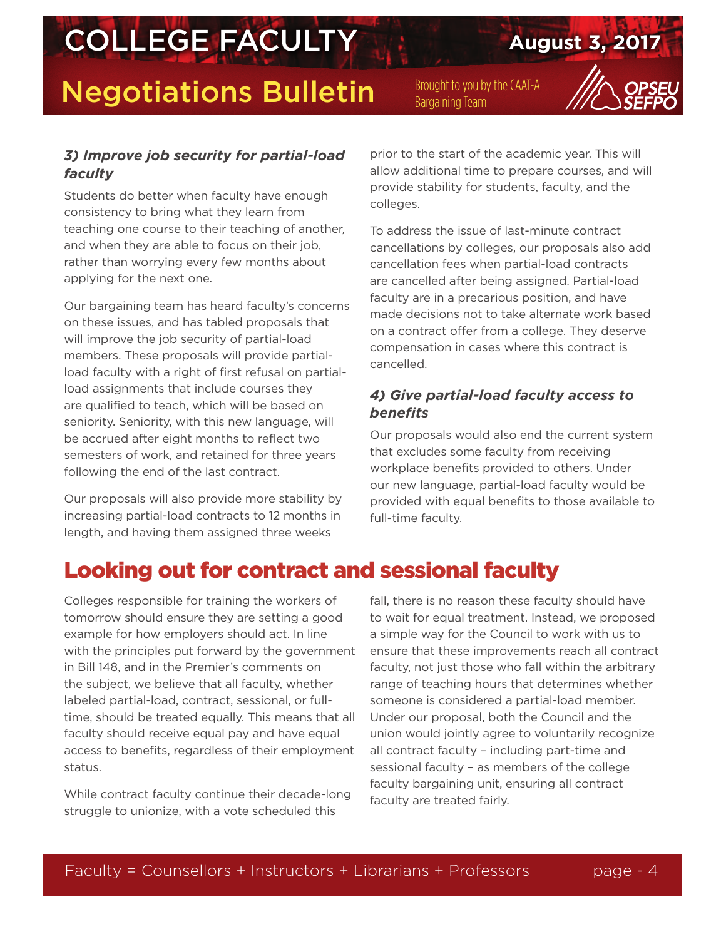## **Negotiations Bulletin** Brought to you by the CAAT-A



#### *3) Improve job security for partial-load faculty*

Students do better when faculty have enough consistency to bring what they learn from teaching one course to their teaching of another, and when they are able to focus on their job, rather than worrying every few months about applying for the next one.

Our bargaining team has heard faculty's concerns on these issues, and has tabled proposals that will improve the job security of partial-load members. These proposals will provide partialload faculty with a right of first refusal on partialload assignments that include courses they are qualified to teach, which will be based on seniority. Seniority, with this new language, will be accrued after eight months to reflect two semesters of work, and retained for three years following the end of the last contract.

Our proposals will also provide more stability by increasing partial-load contracts to 12 months in length, and having them assigned three weeks

prior to the start of the academic year. This will allow additional time to prepare courses, and will provide stability for students, faculty, and the colleges.

To address the issue of last-minute contract cancellations by colleges, our proposals also add cancellation fees when partial-load contracts are cancelled after being assigned. Partial-load faculty are in a precarious position, and have made decisions not to take alternate work based on a contract offer from a college. They deserve compensation in cases where this contract is cancelled.

#### *4) Give partial-load faculty access to benefits*

Our proposals would also end the current system that excludes some faculty from receiving workplace benefits provided to others. Under our new language, partial-load faculty would be provided with equal benefits to those available to full-time faculty.

### Looking out for contract and sessional faculty

Colleges responsible for training the workers of tomorrow should ensure they are setting a good example for how employers should act. In line with the principles put forward by the government in Bill 148, and in the Premier's comments on the subject, we believe that all faculty, whether labeled partial-load, contract, sessional, or fulltime, should be treated equally. This means that all faculty should receive equal pay and have equal access to benefits, regardless of their employment status.

While contract faculty continue their decade-long struggle to unionize, with a vote scheduled this

fall, there is no reason these faculty should have to wait for equal treatment. Instead, we proposed a simple way for the Council to work with us to ensure that these improvements reach all contract faculty, not just those who fall within the arbitrary range of teaching hours that determines whether someone is considered a partial-load member. Under our proposal, both the Council and the union would jointly agree to voluntarily recognize all contract faculty – including part-time and sessional faculty – as members of the college faculty bargaining unit, ensuring all contract faculty are treated fairly.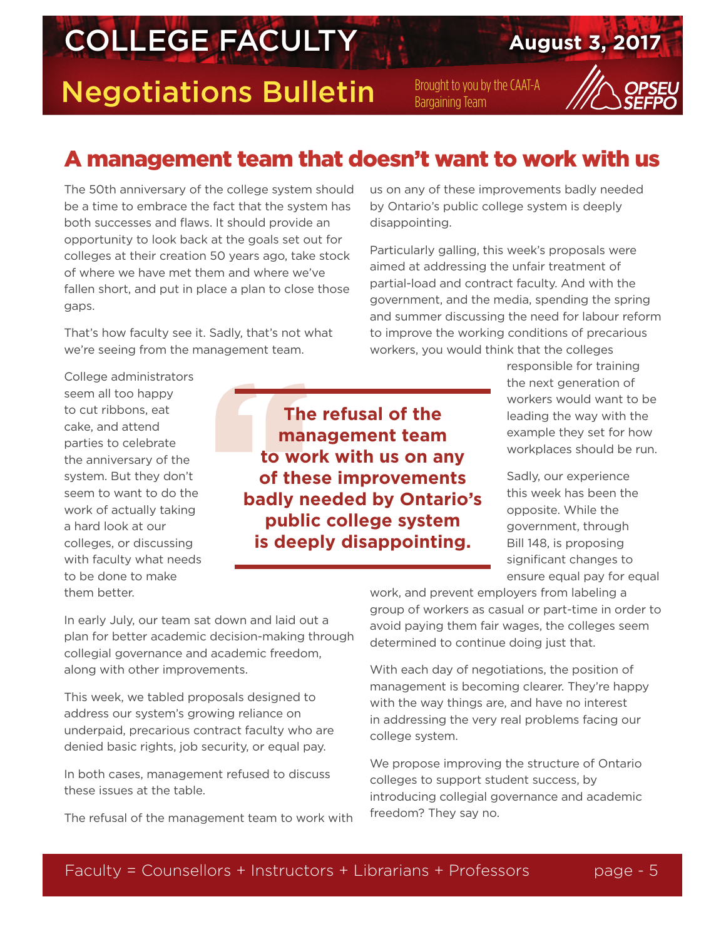**Negotiations Bulletin** Brought to you by the CAAT-A



### A management team that doesn't want to work with us

The 50th anniversary of the college system should be a time to embrace the fact that the system has both successes and flaws. It should provide an opportunity to look back at the goals set out for colleges at their creation 50 years ago, take stock of where we have met them and where we've fallen short, and put in place a plan to close those gaps.

That's how faculty see it. Sadly, that's not what we're seeing from the management team.

College administrators seem all too happy to cut ribbons, eat cake, and attend parties to celebrate the anniversary of the system. But they don't seem to want to do the work of actually taking a hard look at our colleges, or discussing with faculty what needs to be done to make them better.

The<br>
mar<br>
to wo<br>
of the<br>
badly ne<br>
publi<br>
is deen **The refusal of the management team to work with us on any of these improvements badly needed by Ontario's public college system is deeply disappointing.**

us on any of these improvements badly needed by Ontario's public college system is deeply disappointing.

Particularly galling, this week's proposals were aimed at addressing the unfair treatment of partial-load and contract faculty. And with the government, and the media, spending the spring and summer discussing the need for labour reform to improve the working conditions of precarious workers, you would think that the colleges

> responsible for training the next generation of workers would want to be leading the way with the example they set for how workplaces should be run.

> Sadly, our experience this week has been the opposite. While the government, through Bill 148, is proposing significant changes to ensure equal pay for equal

In early July, our team sat down and laid out a plan for better academic decision-making through collegial governance and academic freedom, along with other improvements.

This week, we tabled proposals designed to address our system's growing reliance on underpaid, precarious contract faculty who are denied basic rights, job security, or equal pay.

In both cases, management refused to discuss these issues at the table.

The refusal of the management team to work with

work, and prevent employers from labeling a group of workers as casual or part-time in order to avoid paying them fair wages, the colleges seem determined to continue doing just that.

With each day of negotiations, the position of management is becoming clearer. They're happy with the way things are, and have no interest in addressing the very real problems facing our college system.

We propose improving the structure of Ontario colleges to support student success, by introducing collegial governance and academic freedom? They say no.